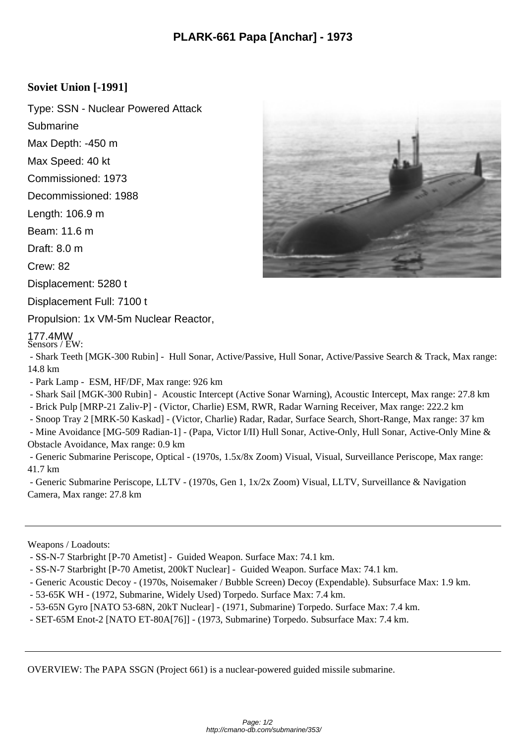## **Soviet Union [-1991]**

Type: SSN - Nuclear Powered Attack

**Submarine** 

Max Depth: -450 m

Max Speed: 40 kt

Commissioned: 1973

Decommissioned: 1988

Length: 106.9 m

Beam: 11.6 m

Draft: 8.0 m

Crew: 82

Displacement: 5280 t

Displacement Full: 7100 t

Propulsion: 1x VM-5m Nuclear Reactor,

## 177.4MW Sensors / EW:

 - Shark Teeth [MGK-300 Rubin] - Hull Sonar, Active/Passive, Hull Sonar, Active/Passive Search & Track, Max range: 14.8 km

- Park Lamp ESM, HF/DF, Max range: 926 km
- Shark Sail [MGK-300 Rubin] Acoustic Intercept (Active Sonar Warning), Acoustic Intercept, Max range: 27.8 km
- Brick Pulp [MRP-21 Zaliv-P] (Victor, Charlie) ESM, RWR, Radar Warning Receiver, Max range: 222.2 km

- Snoop Tray 2 [MRK-50 Kaskad] - (Victor, Charlie) Radar, Radar, Surface Search, Short-Range, Max range: 37 km

 - Mine Avoidance [MG-509 Radian-1] - (Papa, Victor I/II) Hull Sonar, Active-Only, Hull Sonar, Active-Only Mine & Obstacle Avoidance, Max range: 0.9 km

 - Generic Submarine Periscope, Optical - (1970s, 1.5x/8x Zoom) Visual, Visual, Surveillance Periscope, Max range: 41.7 km

 - Generic Submarine Periscope, LLTV - (1970s, Gen 1, 1x/2x Zoom) Visual, LLTV, Surveillance & Navigation Camera, Max range: 27.8 km

Weapons / Loadouts:

- SS-N-7 Starbright [P-70 Ametist] Guided Weapon. Surface Max: 74.1 km.
- SS-N-7 Starbright [P-70 Ametist, 200kT Nuclear] Guided Weapon. Surface Max: 74.1 km.
- Generic Acoustic Decoy (1970s, Noisemaker / Bubble Screen) Decoy (Expendable). Subsurface Max: 1.9 km.
- 53-65K WH (1972, Submarine, Widely Used) Torpedo. Surface Max: 7.4 km.
- 53-65N Gyro [NATO 53-68N, 20kT Nuclear] (1971, Submarine) Torpedo. Surface Max: 7.4 km.
- SET-65M Enot-2 [NATO ET-80A[76]] (1973, Submarine) Torpedo. Subsurface Max: 7.4 km.

OVERVIEW: The PAPA SSGN (Project 661) is a nuclear-powered guided missile submarine.